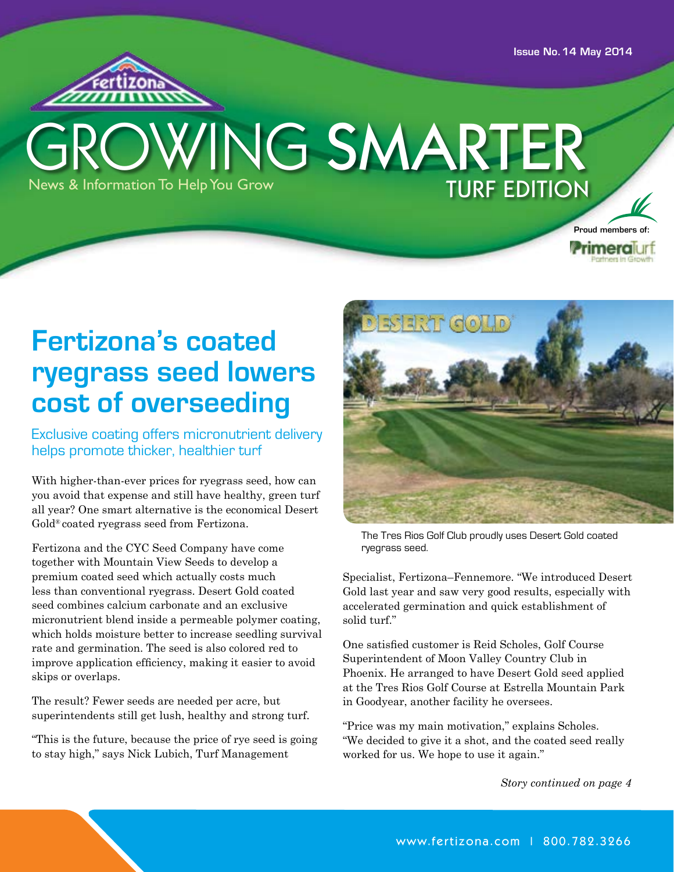Issue No. 14 May 2014



# News & Information To Help You Grow TURF EDITION WING SMARTER



## **Fertizona's coated ryegrass seed lowers cost of overseeding**

Exclusive coating offers micronutrient delivery helps promote thicker, healthier turf

With higher-than-ever prices for ryegrass seed, how can you avoid that expense and still have healthy, green turf all year? One smart alternative is the economical Desert Gold® coated ryegrass seed from Fertizona.

Fertizona and the CYC Seed Company have come together with Mountain View Seeds to develop a premium coated seed which actually costs much less than conventional ryegrass. Desert Gold coated seed combines calcium carbonate and an exclusive micronutrient blend inside a permeable polymer coating, which holds moisture better to increase seedling survival rate and germination. The seed is also colored red to improve application efficiency, making it easier to avoid skips or overlaps.

The result? Fewer seeds are needed per acre, but superintendents still get lush, healthy and strong turf.

"This is the future, because the price of rye seed is going to stay high," says Nick Lubich, Turf Management



The Tres Rios Golf Club proudly uses Desert Gold coated ryegrass seed.

Specialist, Fertizona–Fennemore. "We introduced Desert Gold last year and saw very good results, especially with accelerated germination and quick establishment of solid turf."

One satisfied customer is Reid Scholes, Golf Course Superintendent of Moon Valley Country Club in Phoenix. He arranged to have Desert Gold seed applied at the Tres Rios Golf Course at Estrella Mountain Park in Goodyear, another facility he oversees.

"Price was my main motivation," explains Scholes. "We decided to give it a shot, and the coated seed really worked for us. We hope to use it again."

*Story continued on page 4*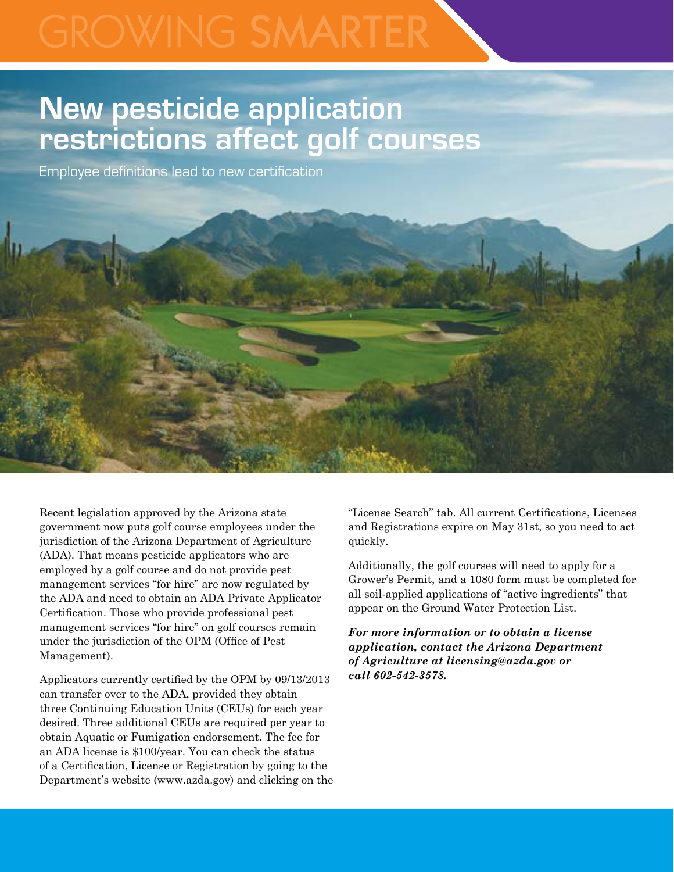## **New pesticide application restrictions affect golf courses**

Employee definitions lead to new certification



Recent legislation approved by the Arizona state government now puts golf course employees under the jurisdiction of the Arizona Department of Agriculture (ADA). That means pesticide applicators who are employed by a golf course and do not provide pest management services "for hire" are now regulated by the ADA and need to obtain an ADA Private Applicator Certification. Those who provide professional pest management services "for hire" on golf courses remain under the jurisdiction of the OPM (Office of Pest Management).

Applicators currently certified by the OPM by 09/13/2013 can transfer over to the ADA, provided they obtain three Continuing Education Units (CEUs) for each year desired. Three additional CEUs are required per year to obtain Aquatic or Fumigation endorsement. The fee for an ADA license is \$100/year. You can check the status of a Certification, License or Registration by going to the Department's website (www.azda.gov) and clicking on the

"License Search" tab. All current Certifications, Licenses and Registrations expire on May 31st, so you need to act quickly.

Additionally, the golf courses will need to apply for a Grower's Permit, and a 1080 form must be completed for all soil-applied applications of "active ingredients" that appear on the Ground Water Protection List.

*For more information or to obtain a license application, contact the Arizona Department of Agriculture at licensing@azda.gov or call 602-542-3578.*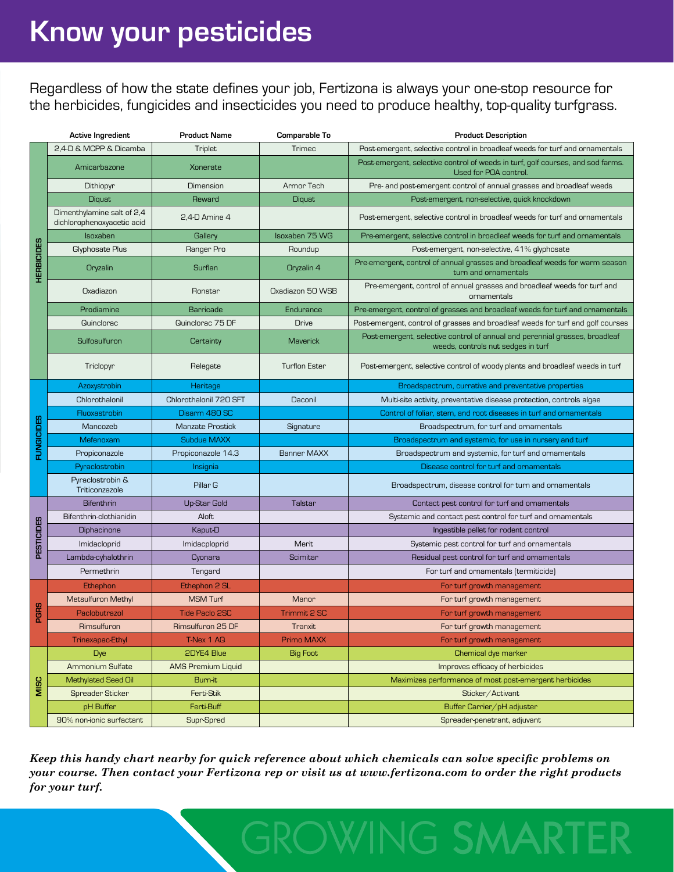Regardless of how the state defines your job, Fertizona is always your one-stop resource for the herbicides, fungicides and insecticides you need to produce healthy, top-quality turfgrass.

|                   | Active Ingredient                                        | <b>Product Name</b>       | Comparable To        | <b>Product Description</b>                                                                                        |
|-------------------|----------------------------------------------------------|---------------------------|----------------------|-------------------------------------------------------------------------------------------------------------------|
| <b>HERBICIDES</b> | 2.4-D & MCPP & Dicamba                                   | Triplet                   | Trimec               | Post-emergent, selective control in broadleaf weeds for turf and ornamentals                                      |
|                   | Amicarbazone                                             | Xonerate                  |                      | Post-emergent, selective control of weeds in turf, golf courses, and sod farms.<br>Used for POA control.          |
|                   | Dithiopyr                                                | Dimension                 | Armor Tech           | Pre- and post-emergent control of annual grasses and broadleaf weeds                                              |
|                   | Diquat                                                   | Reward                    | Diquat               | Post-emergent, non-selective, quick knockdown                                                                     |
|                   | Dimenthylamine salt of 2,4<br>dichlorophenoxyacetic acid | 2,4-D Amine 4             |                      | Post-emergent, selective control in broadleaf weeds for turf and ornamentals                                      |
|                   | Isoxaben                                                 | Gallery                   | Isoxaben 75 WG       | Pre-emergent, selective control in broadleaf weeds for turf and ornamentals                                       |
|                   | Glyphosate Plus                                          | Ranger Pro                | Roundup              | Post-emergent, non-selective, 41% glyphosate                                                                      |
|                   | Oryzalin                                                 | Surflan                   | Oryzalin 4           | Pre-emergent, control of annual grasses and broadleaf weeds for warm season<br>turn and ornamentals               |
|                   | Oxadiazon                                                | Ronstar                   | Oxadiazon 50 WSB     | Pre-emergent, control of annual grasses and broadleaf weeds for turf and<br>ornamentals                           |
|                   | Prodiamine                                               | <b>Barricade</b>          | <b>Endurance</b>     | Pre-emergent, control of grasses and broadleaf weeds for turf and ornamentals                                     |
|                   | Quinclorac                                               | Quinclorac 75 DF          | <b>Drive</b>         | Post-emergent, control of grasses and broadleaf weeds for turf and golf courses                                   |
|                   | Sulfosulfuron                                            | Certainty                 | <b>Maverick</b>      | Post-emergent, selective control of annual and perennial grasses, broadleaf<br>weeds, controls nut sedges in turf |
|                   | Triclopyr                                                | Relegate                  | <b>Turflon Ester</b> | Post-emergent, selective control of woody plants and broadleaf weeds in turf                                      |
| <b>FUNGICIDES</b> | Azoxystrobin                                             | Heritage                  |                      | Broadspectrum, currative and preventative properties                                                              |
|                   | Chlorothalonil                                           | Chlorothalonil 720 SFT    | Daconil              | Multi-site activity, preventative disease protection, controls algae                                              |
|                   | Fluoxastrobin                                            | Disarm 480 SC             |                      | Control of foliar, stem, and root diseases in turf and ornamentals                                                |
|                   | Mancozeb                                                 | <b>Manzate Prostick</b>   | Signature            | Broadspectrum, for turf and ornamentals                                                                           |
|                   | Mefenoxam                                                | <b>Subdue MAXX</b>        |                      | Broadspectrum and systemic, for use in nursery and turf                                                           |
|                   | Propiconazole                                            | Propiconazole 14.3        | <b>Banner MAXX</b>   | Broadspectrum and systemic, for turf and ornamentals                                                              |
|                   | Pyraclostrobin                                           | Insignia                  |                      | Disease control for turf and ornamentals                                                                          |
|                   | Pyraclostrobin &<br>Triticonzazole                       | Pillar G                  |                      | Broadspectrum, disease control for turn and ornamentals                                                           |
| <b>PESTICIDES</b> | <b>Bifenthrin</b>                                        | <b>Up-Star Gold</b>       | Talstar              | Contact pest control for turf and ornamentals                                                                     |
|                   | Bifenthrin-clothianidin                                  | Aloft                     |                      | Systemic and contact pest control for turf and ornamentals                                                        |
|                   | Diphacinone                                              | Kaput-D                   |                      | Ingestible pellet for rodent control                                                                              |
|                   | Imidacloprid                                             | Imidacploprid             | Merit                | Systemic pest control for turf and ornamentals                                                                    |
|                   | Lambda-cyhalothrin                                       | Cyonara                   | Scimitar             | Residual pest control for turf and ornamentals                                                                    |
|                   | Permethrin                                               | Tengard                   |                      | For turf and ornamentals (termiticide)                                                                            |
| <b>PGRS</b>       | Ethephon                                                 | Ethephon 2 SL             |                      | For turf growth management                                                                                        |
|                   | Metsulfuron Methyl                                       | <b>MSM Turf</b>           | Manor                | For turf growth management                                                                                        |
|                   | Paclobutrazol                                            | <b>Tide Paclo 2SC</b>     | Trimmit 2 SC         | For turf growth management                                                                                        |
|                   | Rimsulfuron                                              | Rimsulfuron 25 DF         | Tranxit              | For turf growth management                                                                                        |
|                   | Trinexapac-Ethyl                                         | T-Nex 1 AQ                | Primo MAXX           | For turf growth management                                                                                        |
| MISC              | <b>Dye</b>                                               | 2DYE4 Blue                | <b>Big Foot</b>      | Chemical dye marker                                                                                               |
|                   | Ammonium Sulfate                                         | <b>AMS Premium Liquid</b> |                      | Improves efficacy of herbicides                                                                                   |
|                   | Methylated Seed Oil                                      | Burn-it                   |                      | Maximizes performance of most post-emergent herbicides                                                            |
|                   | Spreader Sticker                                         | Ferti-Stik                |                      | Sticker/Activant                                                                                                  |
|                   | pH Buffer                                                | Ferti-Buff                |                      | Buffer Carrier/pH adjuster                                                                                        |
|                   | 90% non-ionic surfactant                                 | Supr-Spred                |                      | Spreader-penetrant, adjuvant                                                                                      |

*Keep this handy chart nearby for quick reference about which chemicals can solve specific problems on your course. Then contact your Fertizona rep or visit us at www.fertizona.com to order the right products for your turf.*

**GROWING SMARTI**